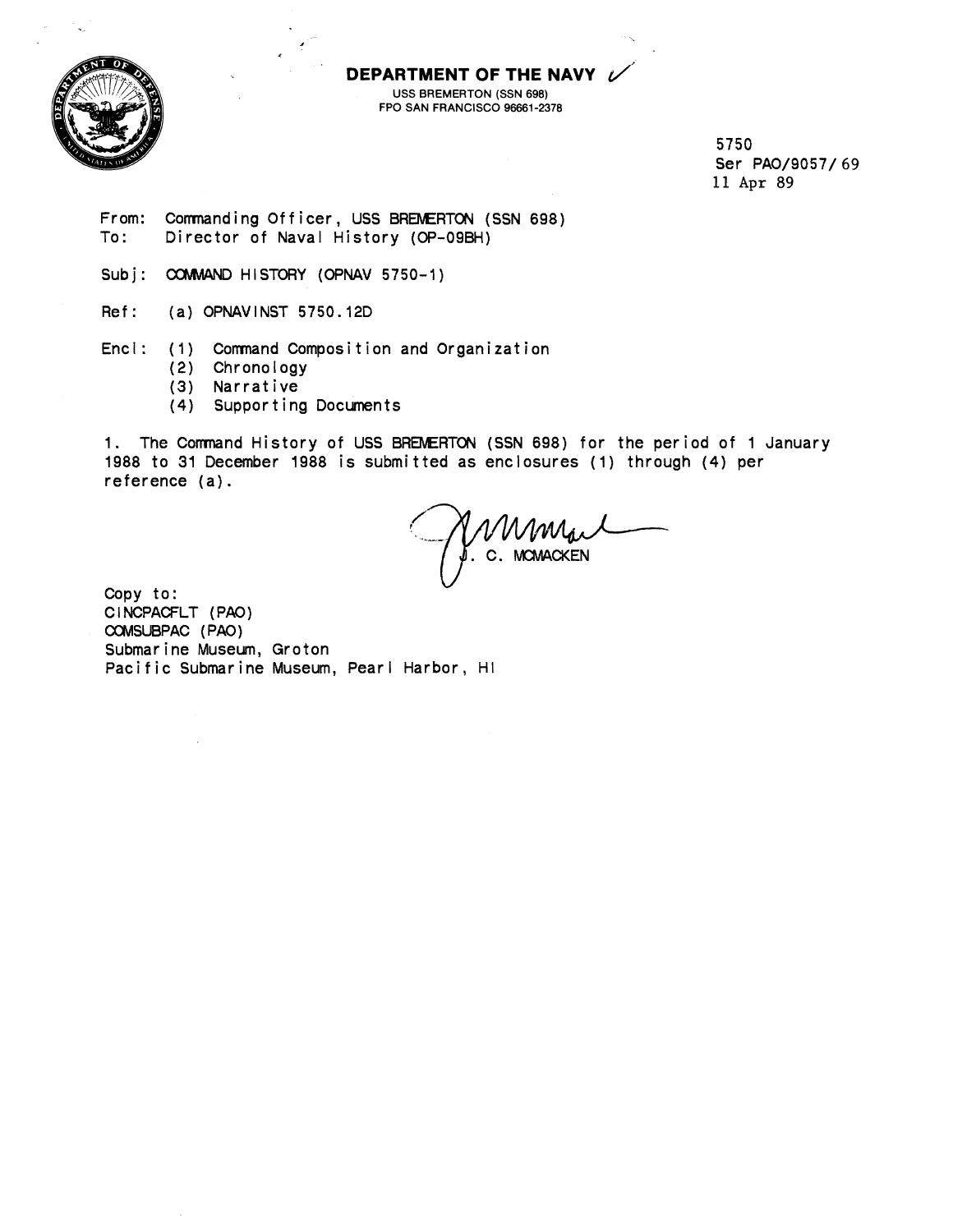

**DEPARTMENT OF THE NAVY** USS BREMERTON (SSN 698) FPO SAN FRANCISCO 96661-2378

> **5750 Ser PA0/9057/ 69 11 Apr 89**

**From: Commanding Officer, USS BREMERTON (SSN 698)**<br>To: Director of Naval History (OP-09BH) **To: Director of Naval History (OP-O9BH)** 

Subj: COMMAND HISTORY (OPNAV 5750-1)

**Ref: (a) OPNAVINST 5750.12D** 

**Encl: (1) Comnand Composition and Organization** 

- **(2) Chronology**
- **(3) Narrative**
- **(4) Supporting Documents**

**1. The Comnand History of USS** BREMERTON **(SSN 698) for the period of 1 January 1988 to 31 December 1988 is submitted as enclosures (1) through (4) per reference (a).** 

. **C. lvKMACKEN** 

**Copy to: CINCPACFLT (PAO) CCMSUBPAC (PAO) Submarine Museum, Groton Pacific Submarine Museum, Pearl Harbor, HI**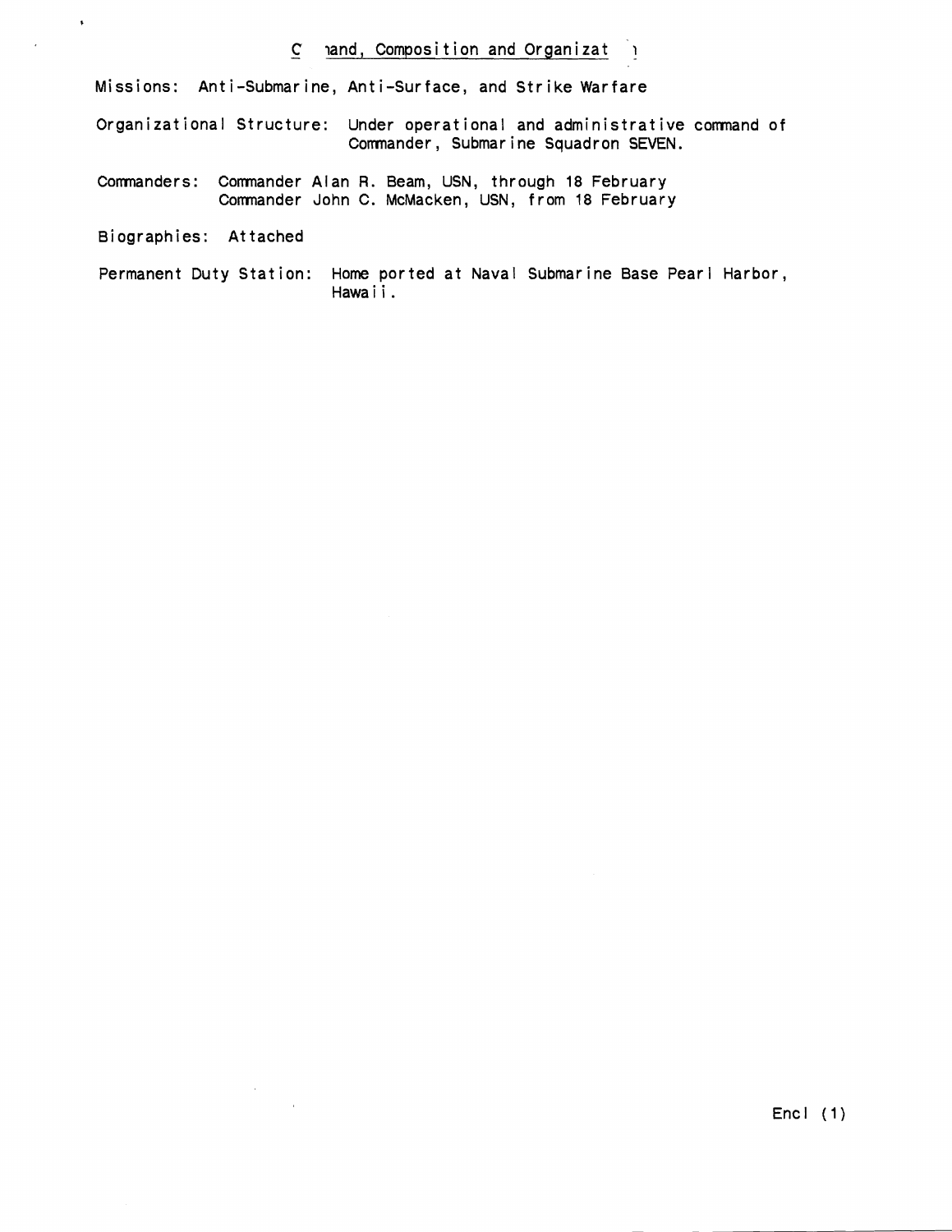## - **C land, Composition and Organizat <sup>1</sup>**

**Missions: Anti-Submarine, Anti-Surface, and Strike Warfare** 

**Organizational Structure: Under operational and administrative comnand of Comnander, Submarine Squadron SEVEN.** 

- **Comnanders: Comnander Alan R. Beam, USN, through 18 February Comnander John C. McMacken, USN, from 18 February**
- **Biographies: Attached**

 $\ddot{\phantom{1}}$ 

**Permanent Duty Station: Home ported at Naval Submarine Base Pearl Harbor, Hawai** i.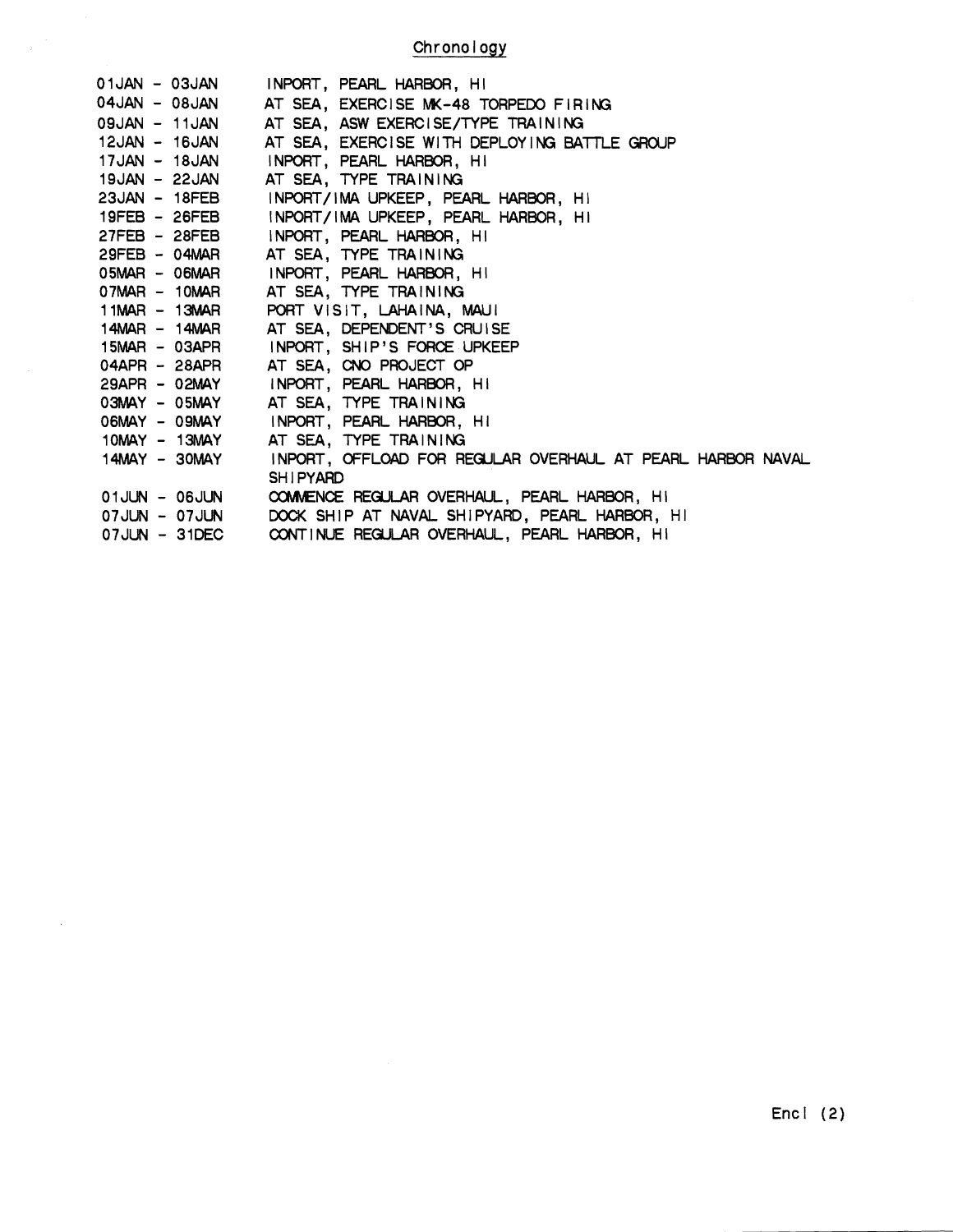**Chronology** 

| 01JAN - 03JAN   |                     | INPORT, PEARL HARBOR, HI                                   |
|-----------------|---------------------|------------------------------------------------------------|
| 04JAN - 08JAN   |                     | AT SEA, EXERCISE MK-48 TORPEDO FIRING                      |
| 09JAN - 11JAN   |                     | AT SEA, ASW EXERCISE/TYPE TRAINING                         |
| 12JAN - 16JAN   |                     | AT SEA, EXERCISE WITH DEPLOYING BATTLE GROUP               |
| 17JAN - 18JAN   |                     | INPORT, PEARL HARBOR, HI                                   |
|                 | 19JAN - 22JAN       | AT SEA, TYPE TRAINING                                      |
| $23JAN - 18FEB$ |                     | INPORT/IMA UPKEEP, PEARL HARBOR, HI                        |
| 19FEB - 26FEB   |                     | INPORT/IMA UPKEEP, PEARL HARBOR, HI                        |
| 27FEB - 28FEB   |                     | INPORT, PEARL HARBOR, HI                                   |
|                 | 29FEB - 04MAR       | AT SEA, TYPE TRAINING                                      |
|                 | 05MAR - 06MAR       | INPORT, PEARL HARBOR, HI                                   |
| 07MAR - 10MAR   |                     | AT SEA, TYPE TRAINING                                      |
|                 | $11MAR - 13MAR$     | PORT VISIT, LAHAINA, MAUI                                  |
|                 | 14MAR - 14MAR       | AT SEA, DEPENDENT'S CRUISE                                 |
|                 | 15MAR - 03APR       | INPORT, SHIP'S FORCE UPKEEP                                |
|                 | $04$ APR – 28APR    | AT SEA, CNO PROJECT OP                                     |
|                 | $29$ APR - 02MAY    | INPORT, PEARL HARBOR, HI                                   |
|                 | $03$ MAY - $05$ MAY | AT SEA, TYPE TRAINING                                      |
|                 | O6MAY - O9MAY       | INPORT, PEARL HARBOR, HI                                   |
|                 | 10MAY - 13MAY       | AT SEA, TYPE TRAINING                                      |
|                 | $14$ MAY - $30$ MAY | INPORT, OFFLOAD FOR REGULAR OVERHAUL AT PEARL HARBOR NAVAL |
|                 |                     | <b>SHIPYARD</b>                                            |
|                 | 01JUN - 06JUN       | COMMENCE REGULAR OVERHAUL, PEARL HARBOR, HI                |
|                 | 07JUN - 07JUN       | DOCK SHIP AT NAVAL SHIPYARD, PEARL HARBOR, HI              |
|                 | $07JUN - 31DEC$     | CONTINUE REGULAR OVERHAUL, PEARL HARBOR, HI                |

 $\mathbf{r}$